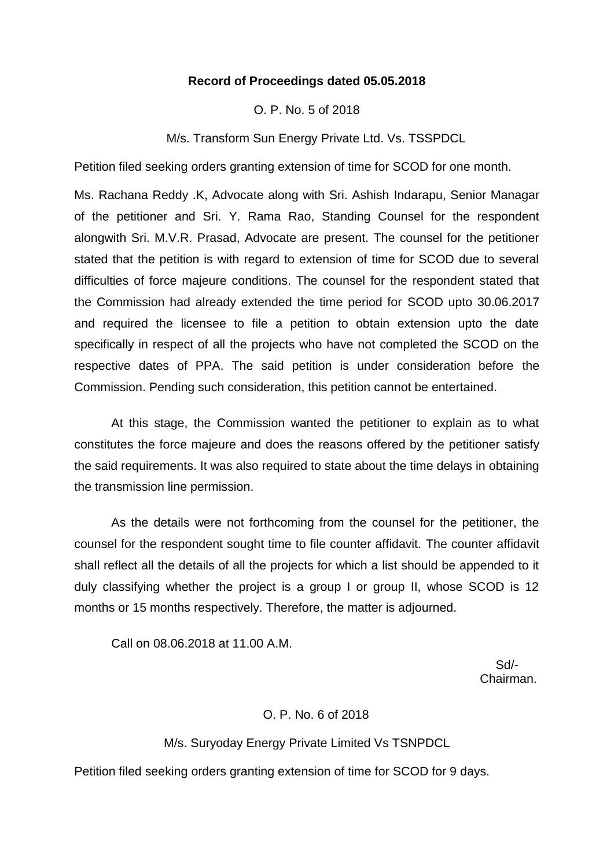# **Record of Proceedings dated 05.05.2018**

# O. P. No. 5 of 2018

M/s. Transform Sun Energy Private Ltd. Vs. TSSPDCL

Petition filed seeking orders granting extension of time for SCOD for one month.

Ms. Rachana Reddy .K, Advocate along with Sri. Ashish Indarapu, Senior Managar of the petitioner and Sri. Y. Rama Rao, Standing Counsel for the respondent alongwith Sri. M.V.R. Prasad, Advocate are present. The counsel for the petitioner stated that the petition is with regard to extension of time for SCOD due to several difficulties of force majeure conditions. The counsel for the respondent stated that the Commission had already extended the time period for SCOD upto 30.06.2017 and required the licensee to file a petition to obtain extension upto the date specifically in respect of all the projects who have not completed the SCOD on the respective dates of PPA. The said petition is under consideration before the Commission. Pending such consideration, this petition cannot be entertained.

At this stage, the Commission wanted the petitioner to explain as to what constitutes the force majeure and does the reasons offered by the petitioner satisfy the said requirements. It was also required to state about the time delays in obtaining the transmission line permission.

As the details were not forthcoming from the counsel for the petitioner, the counsel for the respondent sought time to file counter affidavit. The counter affidavit shall reflect all the details of all the projects for which a list should be appended to it duly classifying whether the project is a group I or group II, whose SCOD is 12 months or 15 months respectively. Therefore, the matter is adjourned.

Call on 08.06.2018 at 11.00 A.M.

 Sd/- Chairman.

## O. P. No. 6 of 2018

M/s. Suryoday Energy Private Limited Vs TSNPDCL

Petition filed seeking orders granting extension of time for SCOD for 9 days.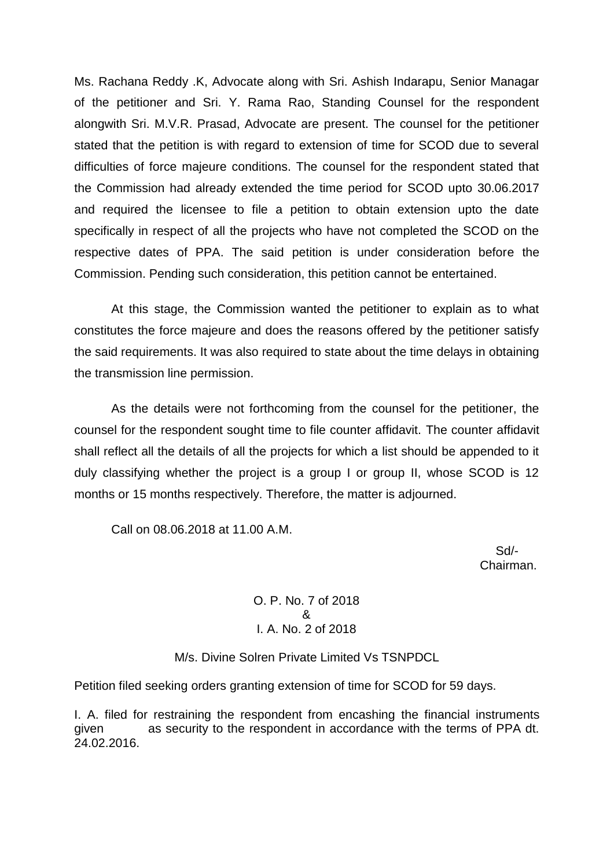Ms. Rachana Reddy .K, Advocate along with Sri. Ashish Indarapu, Senior Managar of the petitioner and Sri. Y. Rama Rao, Standing Counsel for the respondent alongwith Sri. M.V.R. Prasad, Advocate are present. The counsel for the petitioner stated that the petition is with regard to extension of time for SCOD due to several difficulties of force majeure conditions. The counsel for the respondent stated that the Commission had already extended the time period for SCOD upto 30.06.2017 and required the licensee to file a petition to obtain extension upto the date specifically in respect of all the projects who have not completed the SCOD on the respective dates of PPA. The said petition is under consideration before the Commission. Pending such consideration, this petition cannot be entertained.

At this stage, the Commission wanted the petitioner to explain as to what constitutes the force majeure and does the reasons offered by the petitioner satisfy the said requirements. It was also required to state about the time delays in obtaining the transmission line permission.

As the details were not forthcoming from the counsel for the petitioner, the counsel for the respondent sought time to file counter affidavit. The counter affidavit shall reflect all the details of all the projects for which a list should be appended to it duly classifying whether the project is a group I or group II, whose SCOD is 12 months or 15 months respectively. Therefore, the matter is adjourned.

Call on 08.06.2018 at 11.00 A.M.

 Sd/- Chairman.

> O. P. No. 7 of 2018 & I. A. No. 2 of 2018

M/s. Divine Solren Private Limited Vs TSNPDCL

Petition filed seeking orders granting extension of time for SCOD for 59 days.

I. A. filed for restraining the respondent from encashing the financial instruments given as security to the respondent in accordance with the terms of PPA dt. 24.02.2016.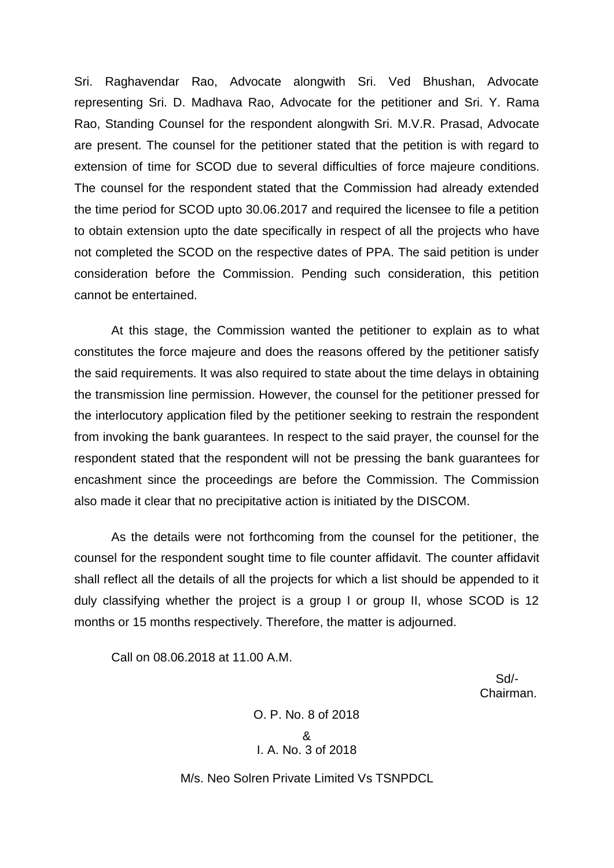Sri. Raghavendar Rao, Advocate alongwith Sri. Ved Bhushan, Advocate representing Sri. D. Madhava Rao, Advocate for the petitioner and Sri. Y. Rama Rao, Standing Counsel for the respondent alongwith Sri. M.V.R. Prasad, Advocate are present. The counsel for the petitioner stated that the petition is with regard to extension of time for SCOD due to several difficulties of force majeure conditions. The counsel for the respondent stated that the Commission had already extended the time period for SCOD upto 30.06.2017 and required the licensee to file a petition to obtain extension upto the date specifically in respect of all the projects who have not completed the SCOD on the respective dates of PPA. The said petition is under consideration before the Commission. Pending such consideration, this petition cannot be entertained.

At this stage, the Commission wanted the petitioner to explain as to what constitutes the force majeure and does the reasons offered by the petitioner satisfy the said requirements. It was also required to state about the time delays in obtaining the transmission line permission. However, the counsel for the petitioner pressed for the interlocutory application filed by the petitioner seeking to restrain the respondent from invoking the bank guarantees. In respect to the said prayer, the counsel for the respondent stated that the respondent will not be pressing the bank guarantees for encashment since the proceedings are before the Commission. The Commission also made it clear that no precipitative action is initiated by the DISCOM.

As the details were not forthcoming from the counsel for the petitioner, the counsel for the respondent sought time to file counter affidavit. The counter affidavit shall reflect all the details of all the projects for which a list should be appended to it duly classifying whether the project is a group I or group II, whose SCOD is 12 months or 15 months respectively. Therefore, the matter is adjourned.

Call on 08.06.2018 at 11.00 A.M.

 Sd/- Chairman.

> O. P. No. 8 of 2018 & I. A. No. 3 of 2018

M/s. Neo Solren Private Limited Vs TSNPDCL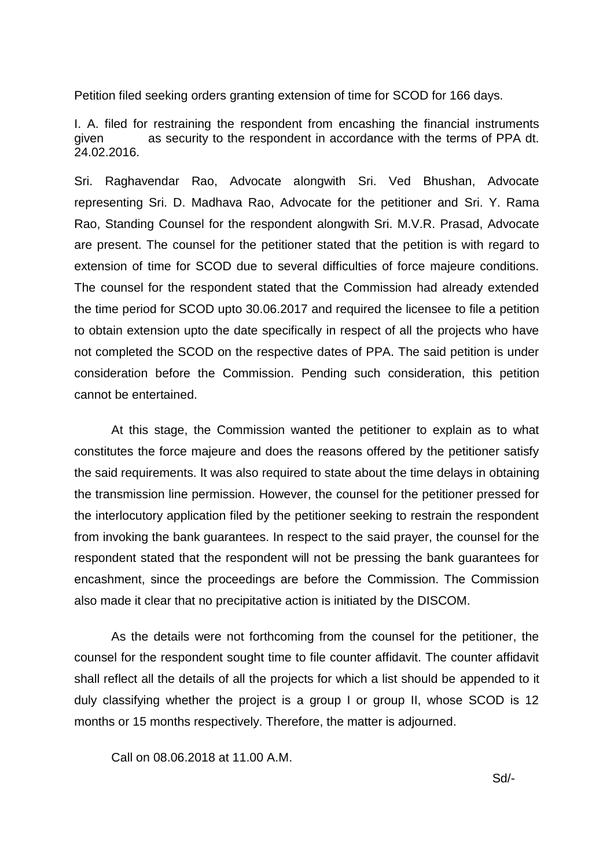Petition filed seeking orders granting extension of time for SCOD for 166 days.

I. A. filed for restraining the respondent from encashing the financial instruments given as security to the respondent in accordance with the terms of PPA dt. 24.02.2016.

Sri. Raghavendar Rao, Advocate alongwith Sri. Ved Bhushan, Advocate representing Sri. D. Madhava Rao, Advocate for the petitioner and Sri. Y. Rama Rao, Standing Counsel for the respondent alongwith Sri. M.V.R. Prasad, Advocate are present. The counsel for the petitioner stated that the petition is with regard to extension of time for SCOD due to several difficulties of force majeure conditions. The counsel for the respondent stated that the Commission had already extended the time period for SCOD upto 30.06.2017 and required the licensee to file a petition to obtain extension upto the date specifically in respect of all the projects who have not completed the SCOD on the respective dates of PPA. The said petition is under consideration before the Commission. Pending such consideration, this petition cannot be entertained.

At this stage, the Commission wanted the petitioner to explain as to what constitutes the force majeure and does the reasons offered by the petitioner satisfy the said requirements. It was also required to state about the time delays in obtaining the transmission line permission. However, the counsel for the petitioner pressed for the interlocutory application filed by the petitioner seeking to restrain the respondent from invoking the bank guarantees. In respect to the said prayer, the counsel for the respondent stated that the respondent will not be pressing the bank guarantees for encashment, since the proceedings are before the Commission. The Commission also made it clear that no precipitative action is initiated by the DISCOM.

As the details were not forthcoming from the counsel for the petitioner, the counsel for the respondent sought time to file counter affidavit. The counter affidavit shall reflect all the details of all the projects for which a list should be appended to it duly classifying whether the project is a group I or group II, whose SCOD is 12 months or 15 months respectively. Therefore, the matter is adjourned.

Call on 08.06.2018 at 11.00 A.M.